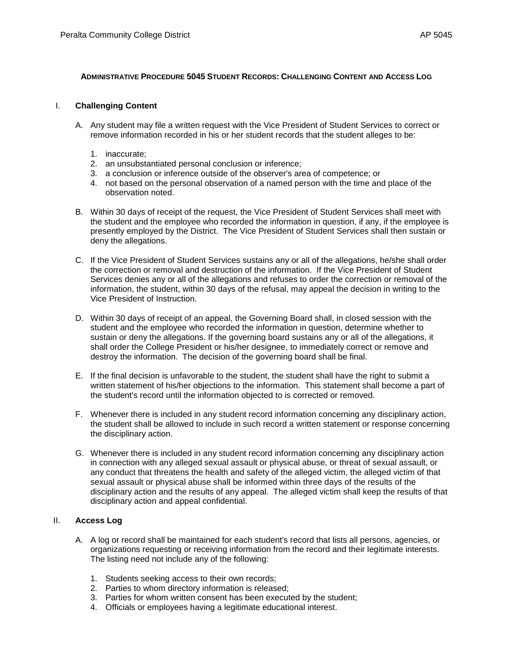## **ADMINISTRATIVE PROCEDURE 5045 STUDENT RECORDS: CHALLENGING CONTENT AND ACCESS LOG**

## I. **Challenging Content**

- A. Any student may file a written request with the Vice President of Student Services to correct or remove information recorded in his or her student records that the student alleges to be:
	- 1. inaccurate;
	- 2. an unsubstantiated personal conclusion or inference;
	- 3. a conclusion or inference outside of the observer's area of competence; or
	- 4. not based on the personal observation of a named person with the time and place of the observation noted.
- B. Within 30 days of receipt of the request, the Vice President of Student Services shall meet with the student and the employee who recorded the information in question, if any, if the employee is presently employed by the District. The Vice President of Student Services shall then sustain or deny the allegations.
- C. If the Vice President of Student Services sustains any or all of the allegations, he/she shall order the correction or removal and destruction of the information. If the Vice President of Student Services denies any or all of the allegations and refuses to order the correction or removal of the information, the student, within 30 days of the refusal, may appeal the decision in writing to the Vice President of Instruction.
- D. Within 30 days of receipt of an appeal, the Governing Board shall, in closed session with the student and the employee who recorded the information in question, determine whether to sustain or deny the allegations. If the governing board sustains any or all of the allegations, it shall order the College President or his/her designee, to immediately correct or remove and destroy the information. The decision of the governing board shall be final.
- E. If the final decision is unfavorable to the student, the student shall have the right to submit a written statement of his/her objections to the information. This statement shall become a part of the student's record until the information objected to is corrected or removed.
- F. Whenever there is included in any student record information concerning any disciplinary action, the student shall be allowed to include in such record a written statement or response concerning the disciplinary action.
- G. Whenever there is included in any student record information concerning any disciplinary action in connection with any alleged sexual assault or physical abuse, or threat of sexual assault, or any conduct that threatens the health and safety of the alleged victim, the alleged victim of that sexual assault or physical abuse shall be informed within three days of the results of the disciplinary action and the results of any appeal. The alleged victim shall keep the results of that disciplinary action and appeal confidential.

## II. **Access Log**

- A. A log or record shall be maintained for each student's record that lists all persons, agencies, or organizations requesting or receiving information from the record and their legitimate interests. The listing need not include any of the following:
	- 1. Students seeking access to their own records;
	- 2. Parties to whom directory information is released;
	- 3. Parties for whom written consent has been executed by the student;
	- 4. Officials or employees having a legitimate educational interest.